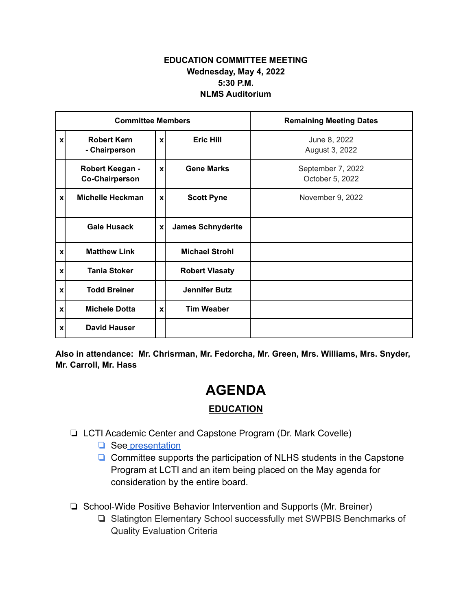## **EDUCATION COMMITTEE MEETING Wednesday, May 4, 2022 5:30 P.M. NLMS Auditorium**

| <b>Committee Members</b>  |                                          |                  |                          | <b>Remaining Meeting Dates</b>       |
|---------------------------|------------------------------------------|------------------|--------------------------|--------------------------------------|
| $\mathbf{x}$              | <b>Robert Kern</b><br>- Chairperson      | $\boldsymbol{x}$ | <b>Eric Hill</b>         | June 8, 2022<br>August 3, 2022       |
|                           | Robert Keegan -<br><b>Co-Chairperson</b> | $\boldsymbol{x}$ | <b>Gene Marks</b>        | September 7, 2022<br>October 5, 2022 |
| xl                        | <b>Michelle Heckman</b>                  | $\boldsymbol{x}$ | <b>Scott Pyne</b>        | November 9, 2022                     |
|                           | <b>Gale Husack</b>                       | X                | <b>James Schnyderite</b> |                                      |
| $\mathbf{x}$              | <b>Matthew Link</b>                      |                  | <b>Michael Strohl</b>    |                                      |
| $\mathbf{x}$              | <b>Tania Stoker</b>                      |                  | <b>Robert Vlasaty</b>    |                                      |
| $\boldsymbol{\mathsf{x}}$ | <b>Todd Breiner</b>                      |                  | <b>Jennifer Butz</b>     |                                      |
| $\boldsymbol{\mathsf{x}}$ | <b>Michele Dotta</b>                     | $\boldsymbol{x}$ | <b>Tim Weaber</b>        |                                      |
| $\boldsymbol{\mathsf{x}}$ | <b>David Hauser</b>                      |                  |                          |                                      |

**Also in attendance: Mr. Chrisrman, Mr. Fedorcha, Mr. Green, Mrs. Williams, Mrs. Snyder, Mr. Carroll, Mr. Hass**

## **AGENDA**

## **EDUCATION**

- ❏ LCTI Academic Center and Capstone Program (Dr. Mark Covelle)
	- ❏ See [presentation](https://drive.google.com/file/d/1YvU7V7e1YAUsceYv2_6xYhHKIhi3bCN4/view?usp=sharing)
	- ❏ Committee supports the participation of NLHS students in the Capstone Program at LCTI and an item being placed on the May agenda for consideration by the entire board.
- ❏ School-Wide Positive Behavior Intervention and Supports (Mr. Breiner)
	- ❏ Slatington Elementary School successfully met SWPBIS Benchmarks of Quality Evaluation Criteria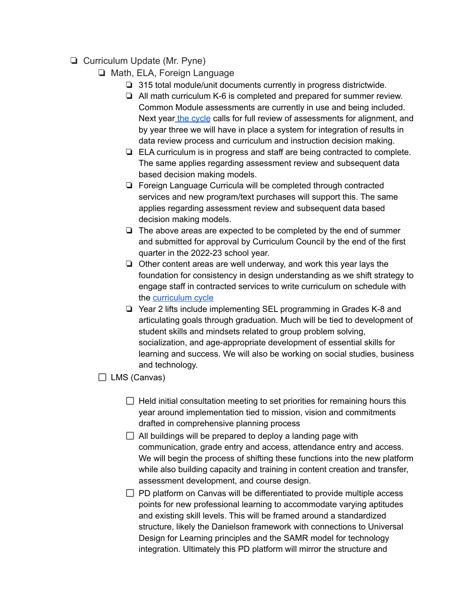## ❏ Curriculum Update (Mr. Pyne)

- ❏ Math, ELA, Foreign Language
	- ❏ 315 total module/unit documents currently in progress districtwide.
	- ❏ All math curriculum K-6 is completed and prepared for summer review. Common Module assessments are currently in use and being included. Next year the [cycle](https://drive.google.com/file/d/1QhikgtV2JilEzgVP8fyQgp-19YXfzaQa/view?usp=drivesdk) calls for full review of assessments for alignment, and by year three we will have in place a system for integration of results in data review process and curriculum and instruction decision making.
	- ❏ ELA curriculum is in progress and staff are being contracted to complete. The same applies regarding assessment review and subsequent data based decision making models.
	- ❏ Foreign Language Curricula will be completed through contracted services and new program/text purchases will support this. The same applies regarding assessment review and subsequent data based decision making models.
	- ❏ The above areas are expected to be completed by the end of summer and submitted for approval by Curriculum Council by the end of the first quarter in the 2022-23 school year.
	- ❏ Other content areas are well underway, and work this year lays the foundation for consistency in design understanding as we shift strategy to engage staff in contracted services to write curriculum on schedule with the [curriculum](https://drive.google.com/file/d/1QhikgtV2JilEzgVP8fyQgp-19YXfzaQa/view?usp=drivesdk) cycle
	- ❏ Year 2 lifts include implementing SEL programming in Grades K-8 and articulating goals through graduation. Much will be tied to development of student skills and mindsets related to group problem solving, socialization, and age-appropriate development of essential skills for learning and success. We will also be working on social studies, business and technology.

 $\Box$  LMS (Canvas)

- $\Box$  Held initial consultation meeting to set priorities for remaining hours this year around implementation tied to mission, vision and commitments drafted in comprehensive planning process
- $\Box$  All buildings will be prepared to deploy a landing page with communication, grade entry and access, attendance entry and access. We will begin the process of shifting these functions into the new platform while also building capacity and training in content creation and transfer, assessment development, and course design.
- $\Box$  PD platform on Canvas will be differentiated to provide multiple access points for new professional learning to accommodate varying aptitudes and existing skill levels. This will be framed around a standardized structure, likely the Danielson framework with connections to Universal Design for Learning principles and the SAMR model for technology integration. Ultimately this PD platform will mirror the structure and